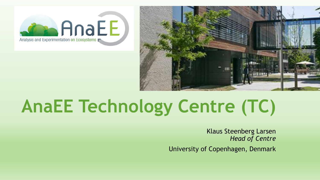



# **AnaEE Technology Centre (TC)**

Klaus Steenberg Larsen *Head of Centre*

University of Copenhagen, Denmark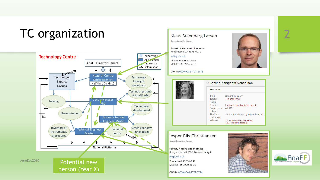## TC organization



person (Year X)

#### Klaus Steenberg Larsen

Associate Professor

**Forest, Nature and Biomass** Rolighedsvej 23, 1958 Frb. C

ksl@ign.ku.dk

Phone: +45 35 33 76 54 Mobile: +45 93 56 55 83

#### ORCID: 0000-0002-1421-6182





#### Jesper Riis Christiansen

**Associate Professor** 

**Forest, Nature and Biomass** Rolighedsvej 23, 1958 Frederiksberg C

#### jrc@ign.ku.dk

Mobile: +45 30 26 16 76

ORCID: 0000-0002-3277-0734



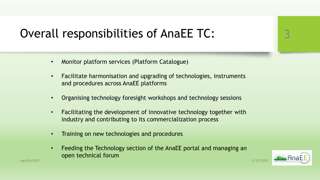

## Overall responsibilities of AnaEE TC:

- Monitor platform services (Platform Catalogue)
- Facilitate harmonisation and upgrading of technologies, instruments and procedures across AnaEE platforms
- Organising technology foresight workshops and technology sessions
- Facilitating the development of innovative technology together with industry and contributing to its commercialization process
- Training on new technologies and procedures
- Feeding the Technology section of the AnaEE portal and managing an open technical forum

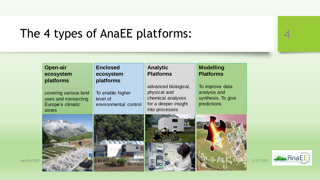## The 4 types of AnaEE platforms:



AnaEE

Analysis and Experimenta

|             | <b>Open-air</b><br>ecosystem<br>platforms                                   | <b>Enclosed</b><br>ecosystem<br>platforms             | <b>Analytic</b><br><b>Platforms</b>                                                                 | <b>Modelling</b><br><b>Platforms</b>                                 |
|-------------|-----------------------------------------------------------------------------|-------------------------------------------------------|-----------------------------------------------------------------------------------------------------|----------------------------------------------------------------------|
|             | covering various land<br>uses and transecting<br>Europe's climatic<br>zones | To enable higher<br>level of<br>environmental control | advanced biological,<br>physical and<br>chemical analyses<br>for a deeper insight<br>into processes | To improve data<br>analysis and<br>synthesis. To give<br>predictions |
|             |                                                                             |                                                       |                                                                                                     |                                                                      |
| AgroEco2020 |                                                                             |                                                       |                                                                                                     |                                                                      |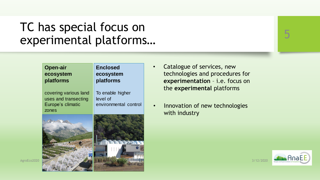### TC has special focus on experimental platforms… **AnaEE give an open access to scientists, policy makers and industry to a**





- **•** Catalogue of services, new **Platforms** technologies and procedures for **advanced biological** biological, the experimental platforms analysis and **experimentation** – i.e. focus on
- Innovation of new technologies with industry

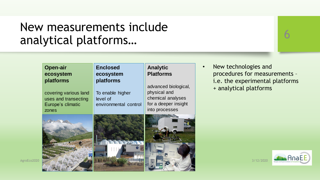### New measurements include analytical platforms… **AnaEE give an open access to scientists, policy makers and industry to a**





• New technologies and **Platforms** for measurements - $+$  analytical platforms i.e. the experimental platforms

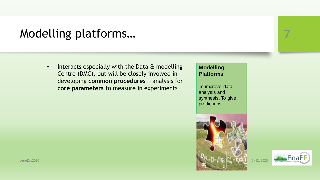## Modelling platforms…

**•** Interacts especially with the Data & modelling **Example 26 Centre (DMC), but will be closely involved in** *developing* **common procedures** + analysis for covering various land <u>xneriments</u> physical and **core parameters** to measure in experiments

### **Modelling Platforms**

To improve data analysis and synthesis. To give predictions



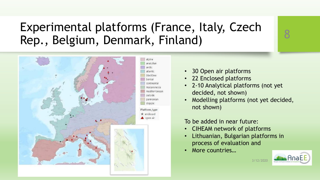## Experimental platforms (France, Italy, Czech Rep., Belgium, Denmark, Finland)



- 30 Open air platforms
- 22 Enclosed platforms
- 2-10 Analytical platforms (not yet decided, not shown)
- Modelling platforms (not yet decided, not shown)

### To be added in near future:

- CIHEAM network of platforms
- Lithuanian, Bulgarian platforms in process of evaluation and
- More countries…

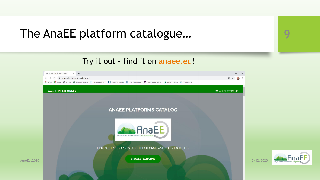### The AnaEE platform catalogue…

Try it out - find it on [anaee.eu!](anaee.eu)



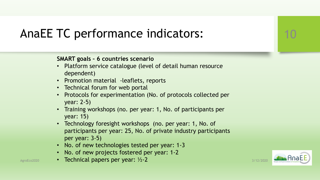## AnaEE TC performance indicators:

### **SMART goals – 6 countries scenario**

- Platform service catalogue (level of detail human resource dependent)
- Promotion material -leaflets, reports
- Technical forum for web portal
- Protocols for experimentation (No. of protocols collected per year: 2-5)
- Training workshops (no. per year: 1, No. of participants per year: 15)
- Technology foresight workshops (no. per year: 1, No. of participants per year: 25, No. of private industry participants per year: 3-5)
- No. of new technologies tested per year: 1-3
- No. of new projects fostered per year: 1-2
- AgroEco2020 Technical papers per year: 1/2-2  $\frac{1}{2}$  and  $\frac{1}{2}$  and  $\frac{3}{12/2020}$